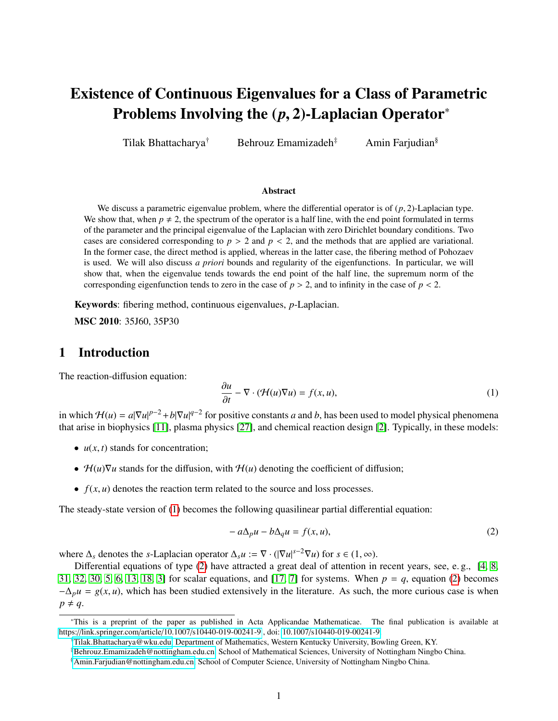# Existence of Continuous Eigenvalues for a Class of Parametric Problems Involving the (*p*, 2)-Laplacian Operator<sup>∗</sup>

Tilak Bhattacharya<sup>†</sup> Behrouz Emamizadeh<sup>‡</sup> Amin Farjudian<sup>§</sup>

#### Abstract

We discuss a parametric eigenvalue problem, where the differential operator is of (*p*, 2)-Laplacian type. We show that, when  $p \neq 2$ , the spectrum of the operator is a half line, with the end point formulated in terms of the parameter and the principal eigenvalue of the Laplacian with zero Dirichlet boundary conditions. Two cases are considered corresponding to  $p > 2$  and  $p < 2$ , and the methods that are applied are variational. In the former case, the direct method is applied, whereas in the latter case, the fibering method of Pohozaev is used. We will also discuss *a priori* bounds and regularity of the eigenfunctions. In particular, we will show that, when the eigenvalue tends towards the end point of the half line, the supremum norm of the corresponding eigenfunction tends to zero in the case of  $p > 2$ , and to infinity in the case of  $p < 2$ .

Keywords: fibering method, continuous eigenvalues, *p*-Laplacian.

MSC 2010: 35J60, 35P30

## 1 Introduction

The reaction-diffusion equation:

<span id="page-0-0"></span>
$$
\frac{\partial u}{\partial t} - \nabla \cdot (\mathcal{H}(u)\nabla u) = f(x, u),\tag{1}
$$

in which  $H(u) = a|\nabla u|^{p-2} + b|\nabla u|^{q-2}$  for positive constants *a* and *b*, has been used to model physical phenomena that arise in biophysics [\[11\]](#page-12-0), plasma physics [\[27\]](#page-12-1), and chemical reaction design [\[2\]](#page-11-0). Typically, in these models:

- $u(x, t)$  stands for concentration;
- $\mathcal{H}(u)\nabla u$  stands for the diffusion, with  $\mathcal{H}(u)$  denoting the coefficient of diffusion;
- $f(x, u)$  denotes the reaction term related to the source and loss processes.

The steady-state version of [\(1\)](#page-0-0) becomes the following quasilinear partial differential equation:

<span id="page-0-1"></span>
$$
-a\Delta_p u - b\Delta_q u = f(x, u),\tag{2}
$$

where  $\Delta_s$  denotes the *s*-Laplacian operator  $\Delta_s u := \nabla \cdot (|\nabla u|^{s-2} \nabla u)$  for  $s \in (1, \infty)$ .<br>Differential equations of type (2) have attracted a great deal of attention in

Differential equations of type [\(2\)](#page-0-1) have attracted a great deal of attention in recent years, see, e. g., [\[4,](#page-11-1) [8,](#page-11-2) [31,](#page-13-0) [32,](#page-13-1) [30,](#page-13-2) [5,](#page-11-3) [6,](#page-11-4) [13,](#page-12-2) [18,](#page-12-3) [3\]](#page-11-5) for scalar equations, and [\[17,](#page-12-4) [7\]](#page-11-6) for systems. When *p* = *q*, equation [\(2\)](#page-0-1) becomes  $-\Delta_p u = g(x, u)$ , which has been studied extensively in the literature. As such, the more curious case is when  $p \neq q$ .

<sup>∗</sup>This is a preprint of the paper as published in Acta Applicandae Mathematicae. The final publication is available at https://link.springer.com/article/10.1007/[s10440-019-00241-9](https://link.springer.com/article/10.1007/s10440-019-00241-9) , doi: 10.1007/[s10440-019-00241-9.](https://doi.org/10.1007/s10440-019-00241-9)

<sup>†</sup>[Tilak.Bhattacharya@wku.edu,](mailto:tilak.bhattacharya@wku.edu) Department of Mathematics, Western Kentucky University, Bowling Green, KY.

<sup>‡</sup>[Behrouz.Emamizadeh@nottingham.edu.cn,](mailto:Behrouz.Emamizadeh@nottingham.edu.cn) School of Mathematical Sciences, University of Nottingham Ningbo China.

<sup>§</sup>[Amin.Farjudian@nottingham.edu.cn,](mailto:Amin.Farjudian@nottingham.edu.cn) School of Computer Science, University of Nottingham Ningbo China.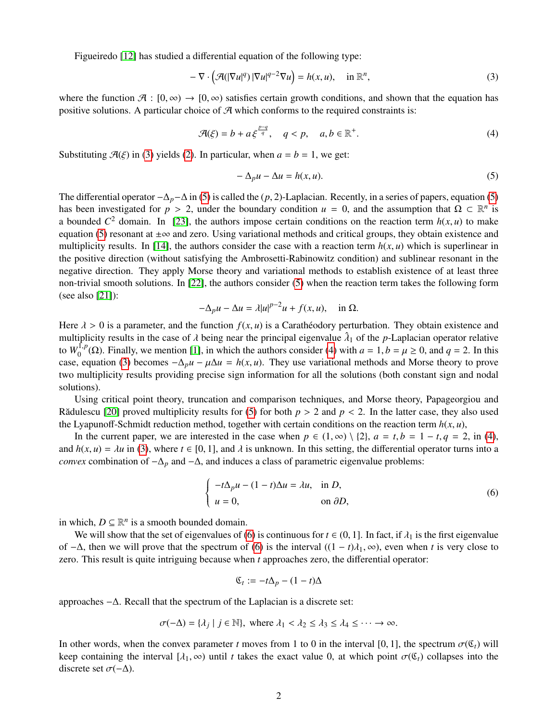Figueiredo [\[12\]](#page-12-5) has studied a differential equation of the following type:

<span id="page-1-0"></span>
$$
-\nabla \cdot \left(\mathcal{A}(|\nabla u|^q)|\nabla u|^{q-2}\nabla u\right) = h(x, u), \quad \text{in } \mathbb{R}^n,
$$
\n(3)

where the function  $\mathcal{A}: [0, \infty) \to [0, \infty)$  satisfies certain growth conditions, and shown that the equation has positive solutions. A particular choice of  $\mathcal A$  which conforms to the required constraints is:

<span id="page-1-2"></span>
$$
\mathcal{A}(\xi) = b + a \xi^{\frac{p-q}{q}}, \quad q < p, \quad a, b \in \mathbb{R}^+.
$$
\n<sup>(4)</sup>

Substituting  $\mathcal{A}(\xi)$  in [\(3\)](#page-1-0) yields [\(2\)](#page-0-1). In particular, when  $a = b = 1$ , we get:

<span id="page-1-1"></span>
$$
-\Delta_p u - \Delta u = h(x, u). \tag{5}
$$

The differential operator <sup>−</sup>∆*p*−<sup>∆</sup> in [\(5\)](#page-1-1) is called the (*p*, 2)-Laplacian. Recently, in a series of papers, equation [\(5\)](#page-1-1) has been investigated for  $p > 2$ , under the boundary condition  $u = 0$ , and the assumption that  $\Omega \subset \mathbb{R}^n$  is<br>a bounded  $C^2$  domain. In [23], the authors impose certain conditions on the reaction term  $h(x, u)$  to make a bounded  $C^2$  domain. In [\[23\]](#page-12-6), the authors impose certain conditions on the reaction term  $h(x, u)$  to make equation [\(5\)](#page-1-1) resonant at  $\pm \infty$  and zero. Using variational methods and critical groups, they obtain existence and multiplicity results. In [\[14\]](#page-12-7), the authors consider the case with a reaction term  $h(x, u)$  which is superlinear in the positive direction (without satisfying the Ambrosetti-Rabinowitz condition) and sublinear resonant in the negative direction. They apply Morse theory and variational methods to establish existence of at least three non-trivial smooth solutions. In [\[22\]](#page-12-8), the authors consider [\(5\)](#page-1-1) when the reaction term takes the following form (see also [\[21\]](#page-12-9)):

$$
-\Delta_p u - \Delta u = \lambda |u|^{p-2}u + f(x, u), \quad \text{in } \Omega.
$$

Here  $\lambda > 0$  is a parameter, and the function  $f(x, u)$  is a Caratheodory perturbation. They obtain existence and multiplicity results in the case of  $\lambda$  being near the principal eigenvalue  $\hat{\lambda}_1$  of the *p*-Laplacian operator relative<br>to  $W^{1,p}(\Omega)$ . Finally, we mention [1] in which the authors consider (A) with  $a = 1$ ,  $b = \mu > 0$ , to  $W_0^{\{1,p\}}(\Omega)$ . Finally, we mention [\[1\]](#page-11-7), in which the authors consider [\(4\)](#page-1-2) with  $a = 1, b = \mu \ge 0$ , and  $q = 2$ . In this case, equation [\(3\)](#page-1-0) becomes  $-\Delta_p u - \mu \Delta u = h(x, u)$ . They use variational methods and Morse theory to prove two multiplicity results providing precise sign information for all the solutions (both constant sign and nodal solutions).

Using critical point theory, truncation and comparison techniques, and Morse theory, Papageorgiou and Rădulescu [\[20\]](#page-12-10) proved multiplicity results for [\(5\)](#page-1-1) for both  $p > 2$  and  $p < 2$ . In the latter case, they also used the Lyapunoff-Schmidt reduction method, together with certain conditions on the reaction term  $h(x, u)$ ,

In the current paper, we are interested in the case when  $p \in (1, \infty) \setminus \{2\}$ ,  $a = t, b = 1 - t, q = 2$ , in [\(4\)](#page-1-2), and  $h(x, u) = \lambda u$  in [\(3\)](#page-1-0), where  $t \in [0, 1]$ , and  $\lambda$  is unknown. In this setting, the differential operator turns into a *convex* combination of  $-\Delta_p$  and  $-\Delta$ , and induces a class of parametric eigenvalue problems:

<span id="page-1-3"></span>
$$
\begin{cases}\n-t\Delta_p u - (1-t)\Delta u = \lambda u, & \text{in } D, \\
u = 0, & \text{on } \partial D,\n\end{cases}
$$
\n(6)

in which,  $D \subseteq \mathbb{R}^n$  is a smooth bounded domain.

We will show that the set of eigenvalues of [\(6\)](#page-1-3) is continuous for  $t \in (0, 1]$ . In fact, if  $\lambda_1$  is the first eigenvalue of  $-\Delta$ , then we will prove that the spectrum of [\(6\)](#page-1-3) is the interval  $((1 - t)\lambda_1, \infty)$ , even when *t* is very close to zero. This result is quite intriguing because when *t* approaches zero, the differential operator:

$$
\mathfrak{C}_t := -t\Delta_p - (1-t)\Delta
$$

approaches −∆. Recall that the spectrum of the Laplacian is a discrete set:

$$
\sigma(-\Delta) = \{\lambda_j \mid j \in \mathbb{N}\}, \text{ where } \lambda_1 < \lambda_2 \leq \lambda_3 \leq \lambda_4 \leq \cdots \to \infty.
$$

In other words, when the convex parameter *t* moves from 1 to 0 in the interval [0, 1], the spectrum  $\sigma(\mathfrak{C}_t)$  will keep containing the interval  $[\lambda_1, \infty)$  until *t* takes the exact value 0, at which point  $\sigma(\mathfrak{C}_t)$  collapses into the discrete set  $\sigma(-\Delta)$ .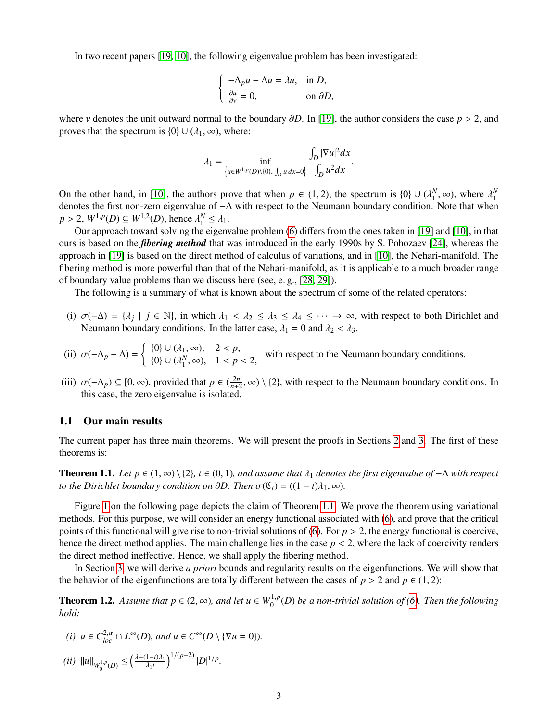In two recent papers [\[19,](#page-12-11) [10\]](#page-12-12), the following eigenvalue problem has been investigated:

$$
\begin{cases}\n-\Delta_p u - \Delta u = \lambda u, & \text{in } D, \\
\frac{\partial u}{\partial y} = 0, & \text{on } \partial D,\n\end{cases}
$$

where *ν* denotes the unit outward normal to the boundary  $\partial D$ . In [\[19\]](#page-12-11), the author considers the case  $p > 2$ , and proves that the spectrum is  $\{0\} \cup (\lambda_1, \infty)$ , where:

$$
\lambda_1 = \inf_{\{u \in W^{1,p}(D) \setminus \{0\}, \int_D u \, dx = 0\}} \frac{\int_D |\nabla u|^2 dx}{\int_D u^2 dx}
$$

On the other hand, in [\[10\]](#page-12-12), the authors prove that when  $p \in (1, 2)$ , the spectrum is  $\{0\} \cup (\lambda_1^N, \infty)$ , where  $\lambda_1^N$  denotes the first non zero eigenvalue of  $-\Delta$  with respect to the Neumann boundary condition. Note denotes the first non-zero eigenvalue of −∆ with respect to the Neumann boundary condition. Note that when  $p > 2$ ,  $W^{1,p}(D) \subseteq W^{1,2}(D)$ , hence  $\lambda_1^N \leq \lambda_1$ .<br>Our approach toward solving the eigenv

Our approach toward solving the eigenvalue problem [\(6\)](#page-1-3) differs from the ones taken in [\[19\]](#page-12-11) and [\[10\]](#page-12-12), in that ours is based on the *fibering method* that was introduced in the early 1990s by S. Pohozaev [\[24\]](#page-12-13), whereas the approach in [\[19\]](#page-12-11) is based on the direct method of calculus of variations, and in [\[10\]](#page-12-12), the Nehari-manifold. The fibering method is more powerful than that of the Nehari-manifold, as it is applicable to a much broader range of boundary value problems than we discuss here (see, e. g., [\[28,](#page-12-14) [29\]](#page-13-3)).

The following is a summary of what is known about the spectrum of some of the related operators:

- (i)  $\sigma(-\Delta) = \{\lambda_j \mid j \in \mathbb{N}\}\)$ , in which  $\lambda_1 < \lambda_2 \le \lambda_3 \le \lambda_4 \le \cdots \to \infty$ , with respect to both Dirichlet and Neumann boundary conditions. In the latter case,  $\lambda_1 = 0$  and  $\lambda_2 < \lambda_3$ . Neumann boundary conditions. In the latter case,  $\lambda_1 = 0$  and  $\lambda_2 < \lambda_3$ .
- (ii)  $\sigma(-\Delta_p \Delta) = \begin{cases} {0} \cup (\lambda_1, \infty), & 2 < p, \\ {0} \cup (\lambda_1^N, \infty), & 1 < p \end{cases}$  ${0}$  ∪  $({\lambda}_1^N, \infty)$ ,  $1 < p < 2$ , with respect to the Neumann boundary conditions.
- (iii)  $\sigma(-\Delta_p) \subseteq [0, \infty)$ , provided that  $p \in (\frac{2n}{n+1})$ <br>this case, the zero eigenvalue is isolated  $\frac{2n}{n+2}$ ,  $\infty$ ) \ {2}, with respect to the Neumann boundary conditions. In this case, the zero eigenvalue is isolated.

#### 1.1 Our main results

The current paper has three main theorems. We will present the proofs in Sections [2](#page-3-0) and [3.](#page-9-0) The first of these theorems is:

<span id="page-2-0"></span>**Theorem 1.1.** *Let p* ∈ (1, ∞) \ {2}*, t* ∈ (0, 1)*, and assume that*  $\lambda_1$  *denotes the first eigenvalue of* −∆ *with respect to the Dirichlet boundary condition on*  $\partial D$ *. Then*  $\sigma(\mathfrak{C}_t) = ((1-t)\lambda_1, \infty)$ *.* 

Figure [1](#page-3-1) on the following page depicts the claim of Theorem [1.1.](#page-2-0) We prove the theorem using variational methods. For this purpose, we will consider an energy functional associated with [\(6\)](#page-1-3), and prove that the critical points of this functional will give rise to non-trivial solutions of [\(6\)](#page-1-3). For  $p > 2$ , the energy functional is coercive, hence the direct method applies. The main challenge lies in the case  $p < 2$ , where the lack of coercivity renders the direct method ineffective. Hence, we shall apply the fibering method.

In Section [3,](#page-9-0) we will derive *a priori* bounds and regularity results on the eigenfunctions. We will show that the behavior of the eigenfunctions are totally different between the cases of  $p > 2$  and  $p \in (1, 2)$ :

<span id="page-2-1"></span>**Theorem 1.2.** Assume that  $p \in (2, ∞)$ , and let  $u \in W_0^{1,p}(D)$  be a non-trivial solution of [\(6\)](#page-1-3). Then the following hold: *hold:*

- *(i)*  $u \in C^{2,\alpha}_{loc} \cap L^{\infty}(D)$ , and  $u \in C^{\infty}(D \setminus {\nabla u = 0})$ .
- $(iii)$   $||u||_{W_0^{1,p}(D)} \leq \left(\frac{\lambda (1-t)\lambda_1}{\lambda_1 t}\right)$  $\lambda_1 t$  $\int_1^{1/(p-2)} |D|^{1/p}$ .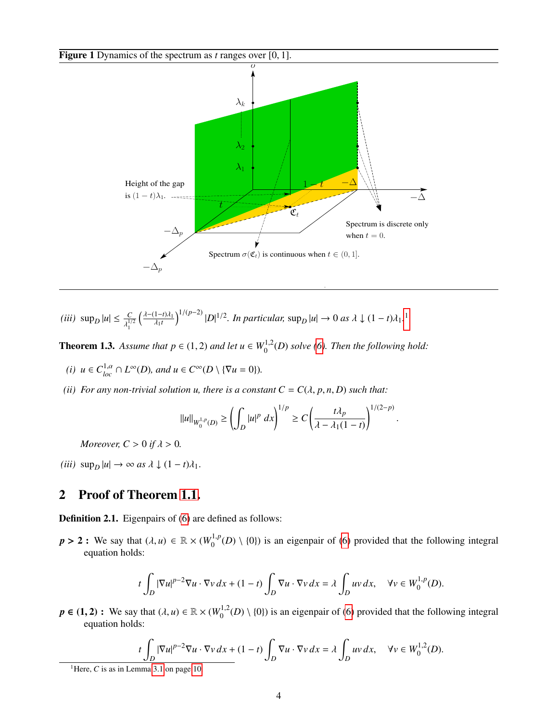<span id="page-3-1"></span>Figure 1 Dynamics of the spectrum as *<sup>t</sup>* ranges over [0, 1].



 $(iii)$  sup<sub>D</sub>  $|u| \leq \frac{C}{\lambda^{1/2}}$  $\lambda_1^{1/2}$  $\left( \frac{\lambda-(1-t)\lambda_1}{\lambda_1 t} \right)$  $\lambda_1 t$  $\int_0^{1/(p-2)} |D|^{1/2}$  $\int_0^{1/(p-2)} |D|^{1/2}$  $\int_0^{1/(p-2)} |D|^{1/2}$ . *In particular*, sup<sub>*D*</sub> |*u*| → 0 *as*  $\lambda \downarrow (1-t)\lambda_1$ .<sup>1</sup>

<span id="page-3-3"></span>**Theorem 1.3.** Assume that  $p \in (1, 2)$  and let  $u \in W_0^{1,2}(D)$  solve [\(6\)](#page-1-3). Then the following hold:

- *(i)*  $u \in C^{1,\alpha}_{loc} \cap L^{\infty}(D)$ , and  $u \in C^{\infty}(D \setminus {\nabla u = 0})$ .
- *(ii) For any non-trivial solution u, there is a constant*  $C = C(\lambda, p, n, D)$  *such that:*

$$
||u||_{W_0^{1,p}(D)} \ge \left(\int_D |u|^p \ dx\right)^{1/p} \ge C\left(\frac{t\lambda_p}{\lambda - \lambda_1(1-t)}\right)^{1/(2-p)}
$$

*Moreover,*  $C > 0$  *if*  $\lambda > 0$ *.* 

 $(iii)$  sup<sub>D</sub>  $|u| \rightarrow \infty$  *as*  $\lambda \downarrow (1-t)\lambda_1$ .

# <span id="page-3-0"></span>2 Proof of Theorem [1.1.](#page-2-0)

Definition 2.1. Eigenpairs of [\(6\)](#page-1-3) are defined as follows:

 $p > 2$ : We say that  $(\lambda, u) \in \mathbb{R} \times (W_0^{1,p}(D) \setminus \{0\})$  is an eigenpair of [\(6\)](#page-1-3) provided that the following integral equation holds: equation holds:

$$
t\int_D |\nabla u|^{p-2}\nabla u\cdot \nabla v\,dx + (1-t)\int_D \nabla u\cdot \nabla v\,dx = \lambda \int_D uv\,dx, \quad \forall v \in W_0^{1,p}(D).
$$

 $p \in (1, 2)$ : We say that  $(\lambda, u) \in \mathbb{R} \times (W_0^{1,2}(D) \setminus \{0\})$  is an eigenpair of [\(6\)](#page-1-3) provided that the following integral equation holds: equation holds:

$$
t\int_{D} |\nabla u|^{p-2} \nabla u \cdot \nabla v \, dx + (1-t) \int_{D} \nabla u \cdot \nabla v \, dx = \lambda \int_{D} uv \, dx, \quad \forall v \in W_0^{1,2}(D).
$$

<span id="page-3-2"></span><sup>1</sup>Here,  $C$  is as in Lemma [3.1](#page-9-1) on page [10.](#page-9-1)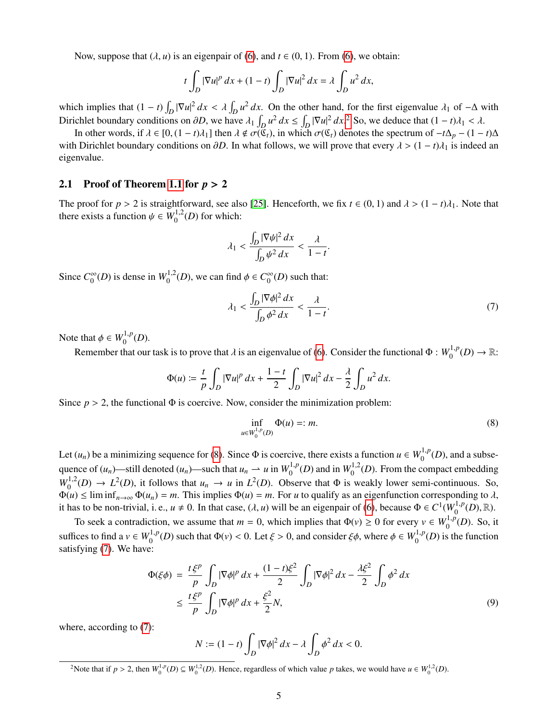Now, suppose that  $(\lambda, u)$  is an eigenpair of [\(6\)](#page-1-3), and  $t \in (0, 1)$ . From (6), we obtain:

$$
t\int_D |\nabla u|^p\,dx + (1-t)\int_D |\nabla u|^2\,dx = \lambda \int_D u^2\,dx,
$$

which implies that  $(1 - t) \int_D |\nabla u|^2 dx < \lambda \int_D u^2 dx$ . On the other hand, for the first eigenvalue  $\lambda_1$  of  $-\Delta$  with Dirichlat have democratising an 3D and have  $\lambda_2$  and  $\lambda_3$  of  $\Delta$  and  $\Delta$  and  $\Delta$ Dirichlet boundary conditions on  $\partial D$ , we have  $\lambda_1 \int_D u^2 dx \le \int_D |\nabla u|^2 dx$  $\lambda_1 \int_D u^2 dx \le \int_D |\nabla u|^2 dx$  $\lambda_1 \int_D u^2 dx \le \int_D |\nabla u|^2 dx$ .<sup>2</sup> So, we deduce that  $(1 - t)\lambda_1 < \lambda$ .<br>In other words if  $\lambda \in [0, (1 - t)\lambda_1]$  then  $\lambda \notin \sigma((0, 1)$  in which  $\sigma((0, 1)$  denotes the spectrum of  $-t\lambda$ .

In other words, if  $\lambda \in [0, (1 - t)\lambda_1]$  then  $\lambda \notin \sigma(\mathfrak{C}_t)$ , in which  $\sigma(\mathfrak{C}_t)$  denotes the spectrum of  $-t\Delta_p - (1 - t)\Delta$ with Dirichlet boundary conditions on  $\partial D$ . In what follows, we will prove that every  $\lambda > (1 - t)\lambda_1$  is indeed an eigenvalue.

#### 2.1 Proof of Theorem [1.1](#page-2-0) for *<sup>p</sup>* > <sup>2</sup>

The proof for  $p > 2$  is straightforward, see also [\[25\]](#page-12-15). Henceforth, we fix  $t \in (0, 1)$  and  $\lambda > (1 - t)\lambda_1$ . Note that there exists a function  $\psi \in W_0^{1,2}(D)$  for which:

$$
\lambda_1 < \frac{\int_D |\nabla \psi|^2 \, dx}{\int_D \psi^2 \, dx} < \frac{\lambda}{1 - t}
$$

Since  $C_0^{\infty}$  $\int_0^\infty$ (*D*) is dense in  $W_0^{1,2}(D)$ , we can find  $\phi \in C_0^\infty$  $\int_0^\infty$ (*D*) such that:

<span id="page-4-2"></span>
$$
\lambda_1 < \frac{\int_D |\nabla \phi|^2 \, dx}{\int_D \phi^2 \, dx} < \frac{\lambda}{1 - t}.\tag{7}
$$

Note that  $\phi \in W_0^{1,p}(D)$ .

Remember that our task is to prove that  $\lambda$  is an eigenvalue of [\(6\)](#page-1-3). Consider the functional  $\Phi : W_0^{1,p}(D) \to \mathbb{R}$ :

$$
\Phi(u) \coloneqq \frac{t}{p} \int_D |\nabla u|^p \, dx + \frac{1-t}{2} \int_D |\nabla u|^2 \, dx - \frac{\lambda}{2} \int_D u^2 \, dx.
$$

Since  $p > 2$ , the functional  $\Phi$  is coercive. Now, consider the minimization problem:

<span id="page-4-1"></span>
$$
\inf_{u \in W_0^{1,p}(D)} \Phi(u) =: m. \tag{8}
$$

Let  $(u_n)$  be a minimizing sequence for [\(8\)](#page-4-1). Since  $\Phi$  is coercive, there exists a function  $u \in W_0^{1,p}(D)$ , and a subsequence of  $(u_n)$ —still denoted  $(u_n)$ —such that  $u_n \to u$  in  $W_0^{1,p}(D)$  and in  $W_0^{1,2}(D)$ . From the compact embedding<br> $W_0^{1,2}(D) \to L^2(D)$  is follows that  $u_n \to u$  in  $L^2(D)$ . Observe that  $\Phi$  is weakly lawn soni sentiments  $W_0^{1,2}(D) \to L^2(D)$ , it follows that  $u_n \to u$  in  $L^2(D)$ . Observe that  $\Phi$  is weakly lower semi-continuous. So,  $\Phi(u) \leq \liminf_{n \to \infty} \Phi(u_n) = m$ . This implies  $\Phi(u) = m$ . For *u* to qualify as an eigenfunction corresponding to  $\lambda$ , it has to be non-trivial, i. e.,  $u \neq 0$ . In that case,  $(\lambda, u)$  will be an eigenpair of [\(6\)](#page-1-3), because  $\Phi \in C^1(W_0^{1,p}(D), \mathbb{R})$ .

To seek a contradiction, we assume that  $m = 0$ , which implies that  $\Phi(\nu) \ge 0$  for every  $\nu \in W_0^{1,p}(D)$ . So, it suffices to find a  $v \in W_0^{1,p}(D)$  such that  $\Phi(v) < 0$ . Let  $\xi > 0$ , and consider  $\xi \phi$ , where  $\phi \in W_0^{1,p}(D)$  is the function satisfying (7). We have: satisfying [\(7\)](#page-4-2). We have:

<span id="page-4-3"></span>
$$
\Phi(\xi\phi) = \frac{t\xi^p}{p} \int_D |\nabla\phi|^p dx + \frac{(1-t)\xi^2}{2} \int_D |\nabla\phi|^2 dx - \frac{\lambda\xi^2}{2} \int_D \phi^2 dx
$$
  

$$
\leq \frac{t\xi^p}{p} \int_D |\nabla\phi|^p dx + \frac{\xi^2}{2} N,
$$
 (9)

where, according to [\(7\)](#page-4-2):

$$
N := (1 - t) \int_D |\nabla \phi|^2 dx - \lambda \int_D \phi^2 dx < 0.
$$

<span id="page-4-0"></span><sup>&</sup>lt;sup>2</sup>Note that if  $p > 2$ , then  $W_0^{1,p}(D) \subseteq W_0^{1,2}(D)$ . Hence, regardless of which value *p* takes, we would have  $u \in W_0^{1,2}(D)$ .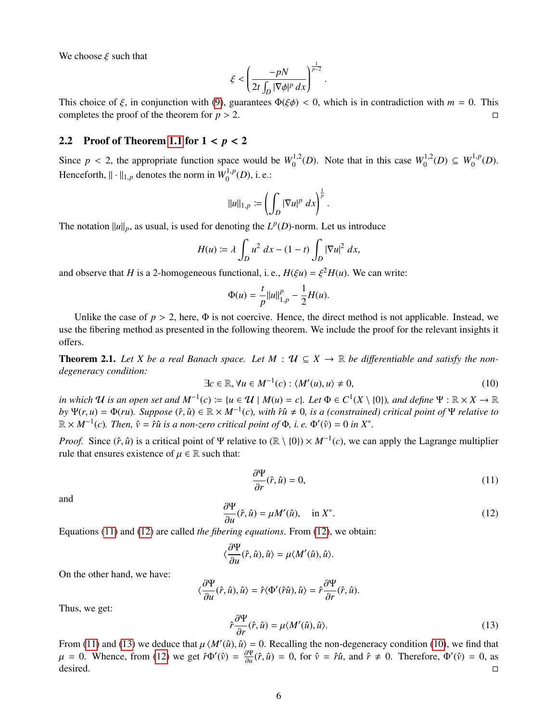We choose  $\xi$  such that

$$
\xi < \left(\frac{-pN}{2t\int_D |\nabla \phi|^p dx}\right)^{\frac{1}{p-2}}
$$

This choice of  $\xi$ , in conjunction with [\(9\)](#page-4-3), guarantees  $\Phi(\xi \phi) < 0$ , which is in contradiction with  $m = 0$ . This completes the proof of the theorem for  $n > 2$ completes the proof of the theorem for  $p > 2$ .

#### 2.2 Proof of Theorem [1.1](#page-2-0) for 1 < *<sup>p</sup>* < <sup>2</sup>

Since  $p < 2$ , the appropriate function space would be  $W_0^{1,2}(D)$ . Note that in this case  $W_0^{1,2}(D) \subseteq W_0^{1,p}(D)$ . Henceforth,  $\|\cdot\|_{1,p}$  denotes the norm in  $W_0^{1,p}(D)$ , i. e.:

$$
||u||_{1,p} := \left(\int_D |\nabla u|^p \ dx\right)^{\frac{1}{p}}.
$$

The notation  $||u||_p$ , as usual, is used for denoting the  $L^p(D)$ -norm. Let us introduce

$$
H(u) \coloneqq \lambda \int_D u^2 \ dx - (1-t) \int_D |\nabla u|^2 \ dx,
$$

and observe that *H* is a 2-homogeneous functional, i. e.,  $H(\xi u) = \xi^2 H(u)$ . We can write:

$$
\Phi(u) = \frac{t}{p} ||u||_{1,p}^p - \frac{1}{2}H(u).
$$

Unlike the case of  $p > 2$ , here,  $\Phi$  is not coercive. Hence, the direct method is not applicable. Instead, we use the fibering method as presented in the following theorem. We include the proof for the relevant insights it offers.

<span id="page-5-4"></span>**Theorem 2.1.** Let X be a real Banach space. Let  $M : \mathcal{U} \subseteq X \rightarrow \mathbb{R}$  be differentiable and satisfy the non*degeneracy condition:*

<span id="page-5-3"></span>
$$
\exists c \in \mathbb{R}, \forall u \in M^{-1}(c) : \langle M'(u), u \rangle \neq 0,
$$
\n(10)

*in which*  $U$  *is an open set and*  $M^{-1}(c) := \{u \in U \mid M(u) = c\}$ *. Let*  $\Phi \in C^1(X \setminus \{0\})$ *, and define*  $\Psi : \mathbb{R} \times X \to \mathbb{R}$ *by*  $\Psi(r, u) = \Phi(ru)$ . Suppose  $(\hat{r}, \hat{u}) \in \mathbb{R} \times M^{-1}(c)$ , with  $\hat{r}\hat{u} \neq 0$ , is a (constrained) critical point of  $\Psi$  relative to  $\mathbb{R} \times M^{-1}(c)$ . Then  $\hat{v} = \hat{r}\hat{u}$  is a non-zero critical point of  $\Phi$  *i*, a  $\mathbb{R} \times M^{-1}(c)$ . Then,  $\hat{v} = \hat{r}\hat{u}$  is a non-zero critical point of  $\Phi$ , i. e.  $\Phi'(\hat{v}) = 0$  in  $X^*$ .

*Proof.* Since  $(\hat{r}, \hat{u})$  is a critical point of Ψ relative to  $(\mathbb{R} \setminus \{0\}) \times M^{-1}(c)$ , we can apply the Lagrange multiplier rule that ensures existence of  $u \in \mathbb{R}$  such that: rule that ensures existence of  $\mu \in \mathbb{R}$  such that:

<span id="page-5-0"></span>
$$
\frac{\partial \Psi}{\partial r}(\hat{r}, \hat{u}) = 0,\tag{11}
$$

and

<span id="page-5-1"></span>
$$
\frac{\partial \Psi}{\partial u}(\hat{r}, \hat{u}) = \mu M'(\hat{u}), \quad \text{in } X^*.
$$
 (12)

 $\partial u^{(1)}$ ,  $\partial u^{(2)}$ ,  $\mu$ ,  $\mu$ ,  $\mu$ ,  $\mu$ ,  $\mu$ ,  $\mu$ ,  $\mu$ .<br>Equations [\(11\)](#page-5-0) and [\(12\)](#page-5-1) are called *the fibering equations*. From (12), we obtain:

$$
\langle \frac{\partial \Psi}{\partial u}(\hat{r}, \hat{u}), \hat{u} \rangle = \mu \langle M'(\hat{u}), \hat{u} \rangle.
$$

On the other hand, we have:

$$
\langle \frac{\partial \Psi}{\partial u}(\hat{r}, \hat{u}), \hat{u} \rangle = \hat{r} \langle \Phi'(\hat{r}\hat{u}), \hat{u} \rangle = \hat{r} \frac{\partial \Psi}{\partial r}(\hat{r}, \hat{u}).
$$

Thus, we get:

<span id="page-5-2"></span>
$$
\hat{r}\frac{\partial \Psi}{\partial r}(\hat{r}, \hat{u}) = \mu \langle M'(\hat{u}), \hat{u} \rangle.
$$
\n(13)

From [\(11\)](#page-5-0) and [\(13\)](#page-5-2) we deduce that  $\mu \langle M'(\hat{u}), \hat{u} \rangle = 0$ . Recalling the non-degeneracy condition [\(10\)](#page-5-3), we find that  $\mu = 0$ . Whence, from (12) we get  $\hat{\pi}^N(\hat{v}) = \frac{\partial \Psi}{\partial \hat{v}}(\hat{v}) = 0$ , for  $\hat{v} = \hat{v}\hat{v}$ , and  $\hat{$  $\mu = 0$ . Whence, from [\(12\)](#page-5-1) we get  $\hat{r}\Phi'(\hat{v}) = \frac{\partial \Psi}{\partial u}$  $\frac{\partial \Psi}{\partial u}(\hat{r}, \hat{u}) = 0$ , for  $\hat{v} = \hat{r}\hat{u}$ , and  $\hat{r} \neq 0$ . Therefore,  $\Phi'(\hat{v}) = 0$ , as desired.  $\Box$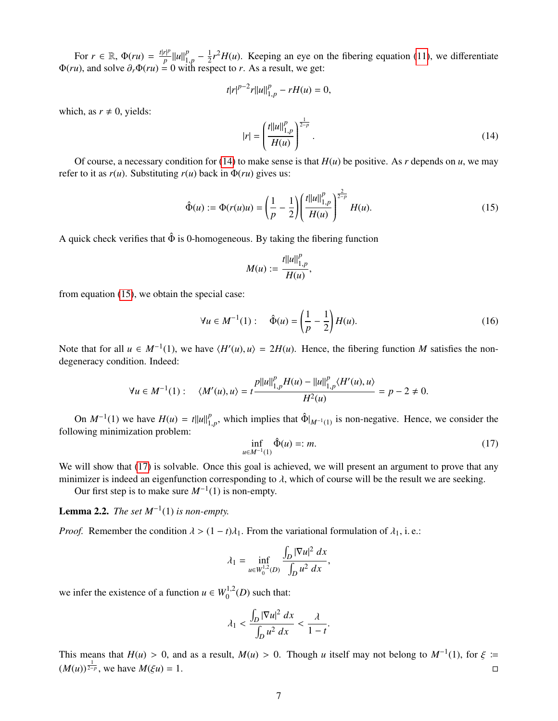For  $r \in \mathbb{R}$ ,  $\Phi(ru) = \frac{t|r|^p}{p}$  $\frac{r|^{p}}{p}$ || $u$ || $\frac{p}{1}$  $\frac{p}{1,p} - \frac{1}{2}$ <br>ith rest  $\frac{1}{2}r^2H(u)$ . Keeping an eye on the fibering equation [\(11\)](#page-5-0), we differentiate  $\Phi(ru)$ , and solve  $\partial_r \Phi(ru) = 0$  with respect to *r*. As a result, we get:

$$
t|r|^{p-2}r||u||_{1,p}^p-rH(u)=0,
$$

which, as  $r \neq 0$ , yields:

<span id="page-6-0"></span>
$$
|r| = \left(\frac{t||u||_{1,p}^p}{H(u)}\right)^{\frac{1}{2-p}}.\tag{14}
$$

Of course, a necessary condition for [\(14\)](#page-6-0) to make sense is that  $H(u)$  be positive. As r depends on  $u$ , we may refer to it as  $r(u)$ . Substituting  $r(u)$  back in  $\Phi(ru)$  gives us:

<span id="page-6-1"></span>
$$
\hat{\Phi}(u) := \Phi(r(u)u) = \left(\frac{1}{p} - \frac{1}{2}\right) \left(\frac{t||u||_{1,p}^p}{H(u)}\right)^{\frac{2}{2-p}} H(u).
$$
\n(15)

A quick check verifies that  $\hat{\Phi}$  is 0-homogeneous. By taking the fibering function

$$
M(u) := \frac{t||u||_{1,p}^p}{H(u)},
$$

from equation [\(15\)](#page-6-1), we obtain the special case:

$$
\forall u \in M^{-1}(1): \quad \hat{\Phi}(u) = \left(\frac{1}{p} - \frac{1}{2}\right) H(u). \tag{16}
$$

Note that for all  $u \in M^{-1}(1)$ , we have  $\langle H'(u), u \rangle = 2H(u)$ . Hence, the fibering function *M* satisfies the non-<br>degeneracy condition Indeed: degeneracy condition. Indeed:

$$
\forall u \in M^{-1}(1): \quad \langle M'(u), u \rangle = t \frac{p ||u||_{1,p}^p H(u) - ||u||_{1,p}^p \langle H'(u), u \rangle}{H^2(u)} = p - 2 \neq 0.
$$

On  $M^{-1}(1)$  we have  $H(u) = t||u||_1^p$  $_{1,p}^p$ , which implies that  $\hat{\Phi}|_{M^{-1}(1)}$  is non-negative. Hence, we consider the following minimization problem:

<span id="page-6-2"></span>
$$
\inf_{u \in M^{-1}(1)} \hat{\Phi}(u) =: m. \tag{17}
$$

We will show that [\(17\)](#page-6-2) is solvable. Once this goal is achieved, we will present an argument to prove that any minimizer is indeed an eigenfunction corresponding to  $\lambda$ , which of course will be the result we are seeking.

Our first step is to make sure  $M^{-1}(1)$  is non-empty.

**Lemma 2.2.** *The set*  $M^{-1}(1)$  *is non-empty.* 

*Proof.* Remember the condition  $\lambda > (1 - t)\lambda_1$ . From the variational formulation of  $\lambda_1$ , i.e.:

$$
\lambda_1 = \inf_{u \in W_0^{1,2}(D)} \frac{\int_D |\nabla u|^2 \, dx}{\int_D u^2 \, dx},
$$

we infer the existence of a function  $u \in W_0^{1,2}(D)$  such that:

$$
\lambda_1 < \frac{\int_D |\nabla u|^2 \, dx}{\int_D u^2 \, dx} < \frac{\lambda}{1 - t}.
$$

This means that *H*(*u*) > 0, and as a result, *M*(*u*) > 0. Though *u* itself may not belong to *M*<sup>−1</sup>(1), for  $\xi := (M_0 \frac{1}{2})$  $(M(u))^{\frac{1}{2-p}}$ , we have  $M(\xi u) = 1$ .  $□$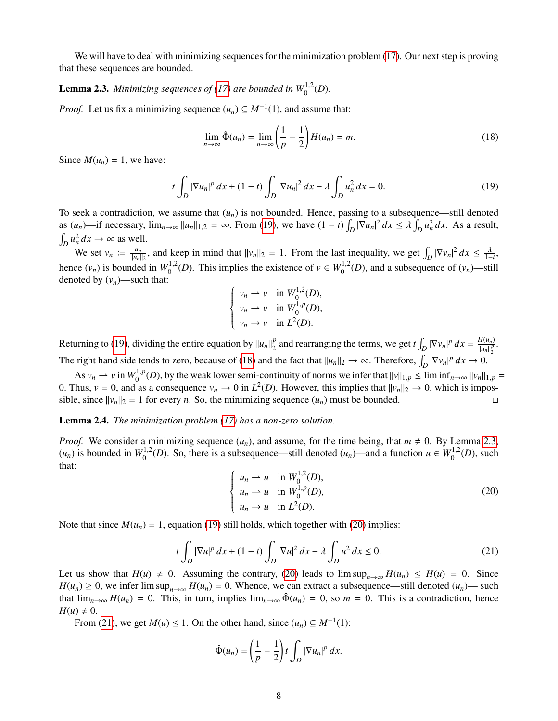We will have to deal with minimizing sequences for the minimization problem [\(17\)](#page-6-2). Our next step is proving that these sequences are bounded.

# <span id="page-7-2"></span>**Lemma 2.3.** Minimizing sequences of [\(17\)](#page-6-2) are bounded in  $W_0^{1,2}(D)$ .

*Proof.* Let us fix a minimizing sequence  $(u_n) \subseteq M^{-1}(1)$ , and assume that:

<span id="page-7-1"></span>
$$
\lim_{n \to \infty} \hat{\Phi}(u_n) = \lim_{n \to \infty} \left(\frac{1}{p} - \frac{1}{2}\right) H(u_n) = m.
$$
\n(18)

Since  $M(u_n) = 1$ , we have:

<span id="page-7-0"></span>
$$
t\int_{D} |\nabla u_n|^p \, dx + (1-t) \int_{D} |\nabla u_n|^2 \, dx - \lambda \int_{D} u_n^2 \, dx = 0. \tag{19}
$$

To seek a contradiction, we assume that  $(u_n)$  is not bounded. Hence, passing to a subsequence—still denoted as  $(u_n)$ —if necessary,  $\lim_{n\to\infty} ||u_n||_{1,2} = \infty$ . From [\(19\)](#page-7-0), we have  $(1-t)\int_D |\nabla u_n|^2 dx \le \lambda \int_D u_n^2 dx$ . As a result,  $\int_D u_n^2 dx \to \infty$  as well.

We set  $v_n := \frac{u_n}{\|u_n\|}$  $\frac{u_n}{\|u_n\|_2}$ , and keep in mind that  $||v_n||_2 = 1$ . From the last inequality, we get  $\int_D |\nabla v_n|^2 dx \le \frac{\lambda}{1-t}$ , hence  $(v_n)$  is bounded in  $W_0^{1,2}(D)$ . This implies the existence of  $v \in W_0^{1,2}(D)$ , and a subsequence of  $(v_n)$ —still denoted by  $(v_n)$ —such that:

$$
\begin{cases}\nv_n \rightharpoonup v & \text{in } W_0^{1,2}(D), \\
v_n \rightharpoonup v & \text{in } W_0^{1,p}(D), \\
v_n \rightharpoonup v & \text{in } L^2(D).\n\end{cases}
$$

Returning to [\(19\)](#page-7-0), dividing the entire equation by  $||u_n||_2^p$  $\sum_{i=1}^{p}$  and rearranging the terms, we get  $t \int_{D} |\nabla v_n|^p dx = \frac{H(u_n)}{||u_n||_2^p}$  $\frac{H(u_n)}{||u_n||_2^p}$ . 2 The right hand side tends to zero, because of [\(18\)](#page-7-1) and the fact that  $||u_n||_2 \to \infty$ . Therefore,  $\int_D |\nabla v_n|^p dx \to 0$ .

As  $v_n \to v$  in  $W_0^{1,p}(D)$ , by the weak lower semi-continuity of norms we infer that  $||v||_{1,p} \leq \liminf_{n \to \infty} ||v_n||_{1,p} =$ <br>thus  $v_0 = 0$  and as a consequence  $v_n \to 0$  in  $L^2(D)$ . However, this implies that  $||v||_{1,p} \to 0$ , which 0. Thus,  $v = 0$ , and as a consequence  $v_n \to 0$  in  $L^2(D)$ . However, this implies that  $||v_n||_2 \to 0$ , which is impos-<br>sible since  $||v_n||_2 = 1$  for every *n*. So, the minimizing sequence  $(u_n)$  must be bounded sible, since  $||v_n||_2 = 1$  for every *n*. So, the minimizing sequence  $(u_n)$  must be bounded.

#### Lemma 2.4. *The minimization problem [\(17\)](#page-6-2) has a non-zero solution.*

*Proof.* We consider a minimizing sequence  $(u_n)$ , and assume, for the time being, that  $m \neq 0$ . By Lemma [2.3,](#page-7-2)  $(u_n)$  is bounded in  $W_0^{1,2}(D)$ . So, there is a subsequence—still denoted  $(u_n)$ —and a function  $u \in W_0^{1,2}(D)$ , such that:

<span id="page-7-3"></span>
$$
\begin{cases}\n u_n \rightharpoonup u & \text{in } W_0^{1,2}(D), \\
 u_n \rightharpoonup u & \text{in } W_0^{1,p}(D), \\
 u_n \rightharpoonup u & \text{in } L^2(D).\n\end{cases}
$$
\n(20)

Note that since  $M(u_n) = 1$ , equation [\(19\)](#page-7-0) still holds, which together with [\(20\)](#page-7-3) implies:

<span id="page-7-4"></span>
$$
t\int_{D} |\nabla u|^{p} dx + (1-t) \int_{D} |\nabla u|^{2} dx - \lambda \int_{D} u^{2} dx \le 0.
$$
 (21)

Let us show that  $H(u) \neq 0$ . Assuming the contrary, [\(20\)](#page-7-3) leads to  $\limsup_{n\to\infty} H(u_n) \leq H(u) = 0$ . Since *H*(*u<sub>n</sub>*) ≥ 0, we infer lim sup<sub>*n*→∞</sub> *H*(*u<sub>n</sub>*) = 0. Whence, we can extract a subsequence—still denoted (*u<sub>n</sub>*)— such that  $\lim_{n\to\infty} H(u_n) = 0$ . This, in turn, implies  $\lim_{n\to\infty} \hat{\Phi}(u_n) = 0$ , so  $m = 0$ . This is a contradiction, hence  $H(u) \neq 0$ .

From [\(21\)](#page-7-4), we get  $M(u) \le 1$ . On the other hand, since  $(u_n) \subseteq M^{-1}(1)$ :

$$
\hat{\Phi}(u_n) = \left(\frac{1}{p} - \frac{1}{2}\right)t \int_D |\nabla u_n|^p dx.
$$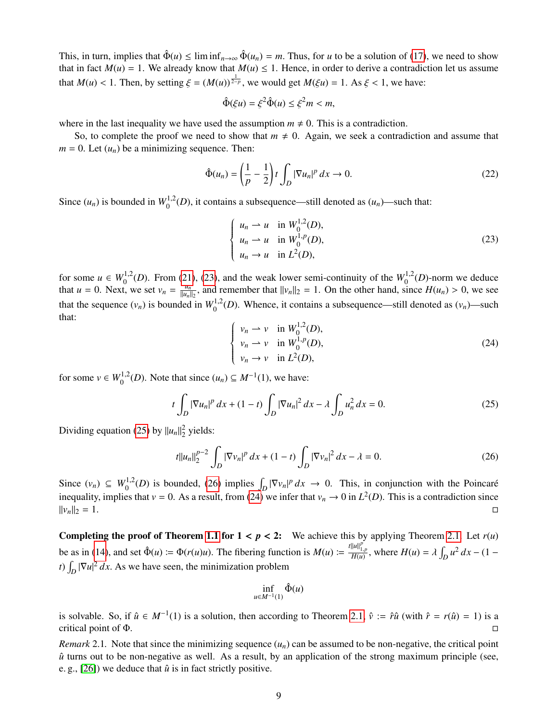This, in turn, implies that  $\hat{\Phi}(u) \le \liminf_{n \to \infty} \hat{\Phi}(u_n) = m$ . Thus, for *u* to be a solution of [\(17\)](#page-6-2), we need to show that in fact  $M(u) = 1$ . We already know that  $M(u) \le 1$ . Hence, in order to derive a contradiction let us assume that  $M(u) < 1$ . Then, by setting  $\xi = (M(u))^{\frac{1}{2-p}}$ , we would get  $M(\xi u) = 1$ . As  $\xi < 1$ , we have:

$$
\hat{\Phi}(\xi u) = \xi^2 \hat{\Phi}(u) \le \xi^2 m < m,
$$

where in the last inequality we have used the assumption  $m \neq 0$ . This is a contradiction.

So, to complete the proof we need to show that  $m \neq 0$ . Again, we seek a contradiction and assume that  $m = 0$ . Let  $(u_n)$  be a minimizing sequence. Then:

$$
\hat{\Phi}(u_n) = \left(\frac{1}{p} - \frac{1}{2}\right)t \int_D |\nabla u_n|^p \, dx \to 0. \tag{22}
$$

Since  $(u_n)$  is bounded in  $W_0^{1,2}(D)$ , it contains a subsequence—still denoted as  $(u_n)$ —such that:

<span id="page-8-0"></span>
$$
\begin{cases}\n u_n \rightharpoonup u & \text{in } W_0^{1,2}(D), \\
 u_n \rightharpoonup u & \text{in } W_0^{1,p}(D), \\
 u_n \rightharpoonup u & \text{in } L^2(D),\n\end{cases}
$$
\n(23)

for some  $u \in W_0^{1,2}(D)$ . From [\(21\)](#page-7-4), [\(23\)](#page-8-0), and the weak lower semi-continuity of the  $W_0^{1,2}(D)$ -norm we deduce that  $u = 0$ . Next, we set  $v_n = \frac{u_n}{||u_n||}$  $\frac{u_n}{||u_n||_2}$ , and remember that  $||v_n||_2 = 1$ . On the other hand, since  $H(u_n) > 0$ , we see that the sequence  $(v_n)$  is bounded in  $W_0^{1,2}(D)$ . Whence, it contains a subsequence—still denoted as  $(v_n)$ —such that:

<span id="page-8-3"></span>
$$
\begin{cases}\nv_n \to v & \text{in } W_0^{1,2}(D), \\
v_n \to v & \text{in } W_0^{1,p}(D), \\
v_n \to v & \text{in } L^2(D),\n\end{cases}
$$
\n(24)

for some  $v \in W_0^{1,2}(D)$ . Note that since  $(u_n) \subseteq M^{-1}(1)$ , we have:

<span id="page-8-1"></span>
$$
t\int_{D} |\nabla u_{n}|^{p} dx + (1-t) \int_{D} |\nabla u_{n}|^{2} dx - \lambda \int_{D} u_{n}^{2} dx = 0.
$$
 (25)

Dividing equation [\(25\)](#page-8-1) by  $||u_n||_2^2$  yields:

<span id="page-8-2"></span>
$$
t||u_n||_2^{p-2} \int_D |\nabla v_n|^p \, dx + (1-t) \int_D |\nabla v_n|^2 \, dx - \lambda = 0. \tag{26}
$$

Since  $(v_n) \subseteq W_0^{1,2}(D)$  is bounded, [\(26\)](#page-8-2) implies  $\int_D |\nabla v_n|^p dx \to 0$ . This, in conjunction with the Poincaré inequality, implies that  $v = 0$ . As a result, from [\(24\)](#page-8-3) we infer that  $v_n \to 0$  in  $L^2(D)$ . This is a contradiction since  $||v_n||_2 = 1.$ 

**Completing the proof of Theorem [1.1](#page-2-0) for**  $1 < p < 2$ **:** We achieve this by applying Theorem [2.1.](#page-5-4) Let  $r(u)$ be as in [\(14\)](#page-6-0), and set  $\hat{\Phi}(u) := \Phi(r(u)u)$ . The fibering function is  $M(u) := \frac{t ||u||_{1,p}^p}{H(u)}$ , where  $H(u) = \lambda \int_D u^2 dx - (1 - \lambda \int_D u^2) dx$ *t*)  $\int_D |\nabla u|^2 dx$ . As we have seen, the minimization problem

$$
\inf_{u \in M^{-1}(1)} \hat{\Phi}(u)
$$

is solvable. So, if  $\hat{u} \in M^{-1}(1)$  is a solution, then according to Theorem [2.1,](#page-5-4)  $\hat{v} := \hat{r}\hat{u}$  (with  $\hat{r} = r(\hat{u}) = 1$ ) is a critical point of Φ.

*Remark* 2.1. Note that since the minimizing sequence  $(u_n)$  can be assumed to be non-negative, the critical point  $\hat{u}$  turns out to be non-negative as well. As a result, by an application of the strong maximum principle (see, e. g.,  $[26]$ ) we deduce that  $\hat{u}$  is in fact strictly positive.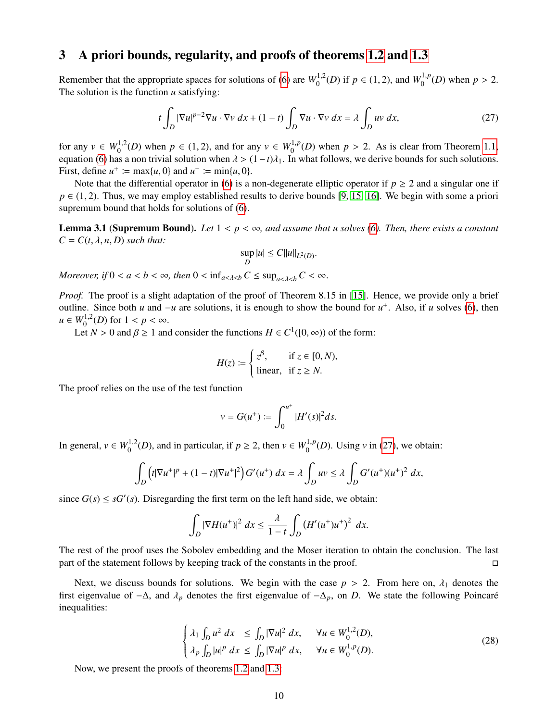# <span id="page-9-0"></span>3 A priori bounds, regularity, and proofs of theorems [1.2](#page-2-1) and [1.3](#page-3-3)

Remember that the appropriate spaces for solutions of [\(6\)](#page-1-3) are  $W_0^{1,2}(D)$  if  $p \in (1, 2)$ , and  $W_0^{1,p}(D)$  when  $p > 2$ .<br>The solution is the function *u* satisfying: The solution is the function *u* satisfying:

<span id="page-9-2"></span>
$$
t\int_{D} |\nabla u|^{p-2} \nabla u \cdot \nabla v \, dx + (1-t) \int_{D} \nabla u \cdot \nabla v \, dx = \lambda \int_{D} uv \, dx,\tag{27}
$$

for any  $v \in W_0^{1,2}(D)$  when  $p \in (1,2)$ , and for any  $v \in W_0^{1,p}(D)$  when  $p > 2$ . As is clear from Theorem [1.1,](#page-2-0) equation [\(6\)](#page-1-3) has a non trivial solution when  $\lambda > (1-t)\lambda_1$ . In what follows, we derive bounds for such solutions.<br>First, define  $u^+ := \max\{u, 0\}$  and  $u^- := \min\{u, 0\}$ First, define  $u^+ := \max\{u, 0\}$  and  $u^- := \min\{u, 0\}$ .<br>Note that the differential operator in (6) is a

Note that the differential operator in [\(6\)](#page-1-3) is a non-degenerate elliptic operator if  $p \ge 2$  and a singular one if  $p \in (1, 2)$ . Thus, we may employ established results to derive bounds [\[9,](#page-11-8) [15,](#page-12-17) [16\]](#page-12-18). We begin with some a priori supremum bound that holds for solutions of [\(6\)](#page-1-3).

<span id="page-9-1"></span>**Lemma 3.1 (Supremum Bound).** Let  $1 < p < \infty$ , and assume that u solves [\(6\)](#page-1-3). Then, there exists a constant  $C = C(t, \lambda, n, D)$  *such that:* 

$$
\sup_D |u| \le C ||u||_{L^2(D)}.
$$

*Moreover, if*  $0 < a < b < \infty$ *, then*  $0 < \inf_{a < \lambda < b} C \le \sup_{a < \lambda < b} C < \infty$ *.* 

*Proof.* The proof is a slight adaptation of the proof of Theorem 8.15 in [\[15\]](#page-12-17). Hence, we provide only a brief outline. Since both *u* and  $-u$  are solutions, it is enough to show the bound for  $u^+$ . Also, if *u* solves [\(6\)](#page-1-3), then  $u \in W_0^{1,2}(D)$  for  $1 < p < \infty$ .<br>
Let  $N > 0$  and  $\beta > 1$  and

Let *N* > 0 and  $\beta \ge 1$  and consider the functions  $H \in C^1([0, \infty))$  of the form:

$$
H(z) := \begin{cases} z^{\beta}, & \text{if } z \in [0, N), \\ \text{linear}, & \text{if } z \ge N. \end{cases}
$$

The proof relies on the use of the test function

$$
v = G(u^{+}) := \int_0^{u^{+}} |H'(s)|^2 ds.
$$

In general,  $v \in W_0^{1,2}(D)$ , and in particular, if  $p \ge 2$ , then  $v \in W_0^{1,p}(D)$ . Using *v* in [\(27\)](#page-9-2), we obtain:

$$
\int_{D} \left( t|\nabla u^{+}|^{p} + (1-t)|\nabla u^{+}|^{2} \right) G'(u^{+}) dx = \lambda \int_{D} uv \leq \lambda \int_{D} G'(u^{+})(u^{+})^{2} dx,
$$

since  $G(s) \leq sG'(s)$ . Disregarding the first term on the left hand side, we obtain:

$$
\int_D |\nabla H(u^+)|^2 dx \le \frac{\lambda}{1-t} \int_D \left(H'(u^+)u^+\right)^2 dx.
$$

The rest of the proof uses the Sobolev embedding and the Moser iteration to obtain the conclusion. The last part of the statement follows by keeping track of the constants in the proof.

Next, we discuss bounds for solutions. We begin with the case  $p > 2$ . From here on,  $\lambda_1$  denotes the first eigenvalue of <sup>−</sup>∆, and <sup>λ</sup>*<sup>p</sup>* denotes the first eigenvalue of <sup>−</sup>∆*p*, on *<sup>D</sup>*. We state the following Poincare´ inequalities:

<span id="page-9-3"></span>
$$
\begin{cases} \lambda_1 \int_D u^2 dx \le \int_D |\nabla u|^2 dx, & \forall u \in W_0^{1,2}(D), \\ \lambda_p \int_D |u|^p dx \le \int_D |\nabla u|^p dx, & \forall u \in W_0^{1,p}(D). \end{cases}
$$
\n(28)

Now, we present the proofs of theorems [1.2](#page-2-1) and [1.3:](#page-3-3)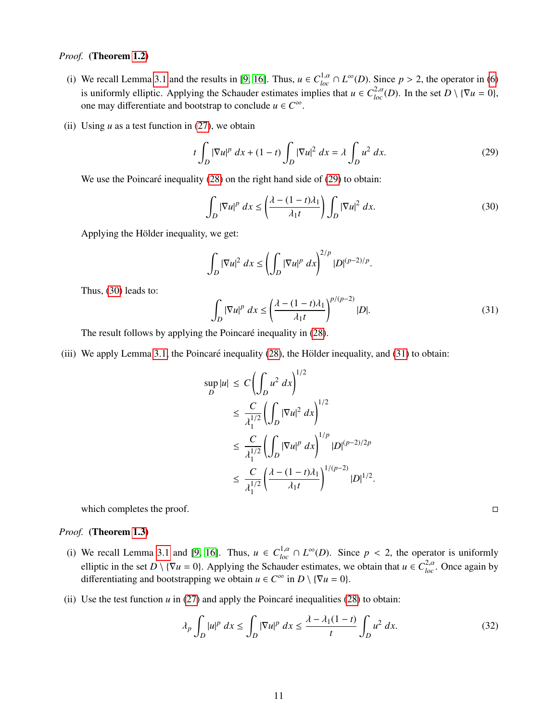### *Proof.* (Theorem [1.2\)](#page-2-1)

- (i) We recall Lemma [3.1](#page-9-1) and the results in [\[9,](#page-11-8) [16\]](#page-12-18). Thus,  $u \in C_{loc}^{1,\alpha} \cap L^{\infty}(D)$ . Since  $p > 2$ , the operator in [\(6\)](#page-1-3) is uniformly elliptic. Applying the Schauder estimates implies that  $u \in C_{loc}^{2,\alpha}(D)$ . In the set  $D \setminus {\$ one may differentiate and bootstrap to conclude  $u \in C^{\infty}$
- (ii) Using  $u$  as a test function in  $(27)$ , we obtain

<span id="page-10-0"></span>
$$
t\int_D |\nabla u|^p dx + (1-t)\int_D |\nabla u|^2 dx = \lambda \int_D u^2 dx.
$$
 (29)

We use the Poincaré inequality  $(28)$  on the right hand side of  $(29)$  to obtain:

<span id="page-10-1"></span>
$$
\int_{D} |\nabla u|^{p} dx \le \left(\frac{\lambda - (1 - t)\lambda_{1}}{\lambda_{1} t}\right) \int_{D} |\nabla u|^{2} dx.
$$
\n(30)

Applying the Hölder inequality, we get:

$$
\int_D |\nabla u|^2 dx \le \left(\int_D |\nabla u|^p dx\right)^{2/p} |D|^{(p-2)/p}
$$

Thus, [\(30\)](#page-10-1) leads to:

<span id="page-10-2"></span>
$$
\int_{D} |\nabla u|^{p} dx \le \left(\frac{\lambda - (1 - t)\lambda_{1}}{\lambda_{1}t}\right)^{p/(p-2)} |D|.
$$
\n(31)

The result follows by applying the Poincaré inequality in [\(28\)](#page-9-3).

(iii) We apply Lemma [3.1,](#page-9-1) the Poincaré inequality  $(28)$ , the Hölder inequality, and  $(31)$  to obtain:

$$
\sup_{D} |u| \leq C \left( \int_{D} u^{2} dx \right)^{1/2}
$$
  
\n
$$
\leq \frac{C}{\lambda_{1}^{1/2}} \left( \int_{D} |\nabla u|^{2} dx \right)^{1/2}
$$
  
\n
$$
\leq \frac{C}{\lambda_{1}^{1/2}} \left( \int_{D} |\nabla u|^{p} dx \right)^{1/p} |D|^{(p-2)/2p}
$$
  
\n
$$
\leq \frac{C}{\lambda_{1}^{1/2}} \left( \frac{\lambda - (1-t)\lambda_{1}}{\lambda_{1}t} \right)^{1/(p-2)} |D|^{1/2}
$$

which completes the proof.  $\Box$ 

#### *Proof.* (Theorem [1.3\)](#page-3-3)

- (i) We recall Lemma [3.1](#page-9-1) and [\[9,](#page-11-8) [16\]](#page-12-18). Thus,  $u \in C_{loc}^{1,\alpha} \cap L^{\infty}(D)$ . Since  $p < 2$ , the operator is uniformly allocated in the set  $D \setminus (\nabla u 0)$ . Applying the Schauder extincts we obtain that  $u \in C_{loc}^{2,\alpha}$ . Once again b elliptic in the set  $D \setminus {\nabla u = 0}$ . Applying the Schauder estimates, we obtain that  $u \in C^{2,\alpha}_{loc}$ . Once again by differentiating and bootstrapping we obtain  $u \in C^{\infty}$  in  $D \setminus {\nabla u = 0}$ .
- (ii) Use the test function  $u$  in [\(27\)](#page-9-2) and apply the Poincaré inequalities [\(28\)](#page-9-3) to obtain:

<span id="page-10-3"></span>
$$
\lambda_p \int_D |u|^p \, dx \le \int_D |\nabla u|^p \, dx \le \frac{\lambda - \lambda_1 (1 - t)}{t} \int_D u^2 \, dx. \tag{32}
$$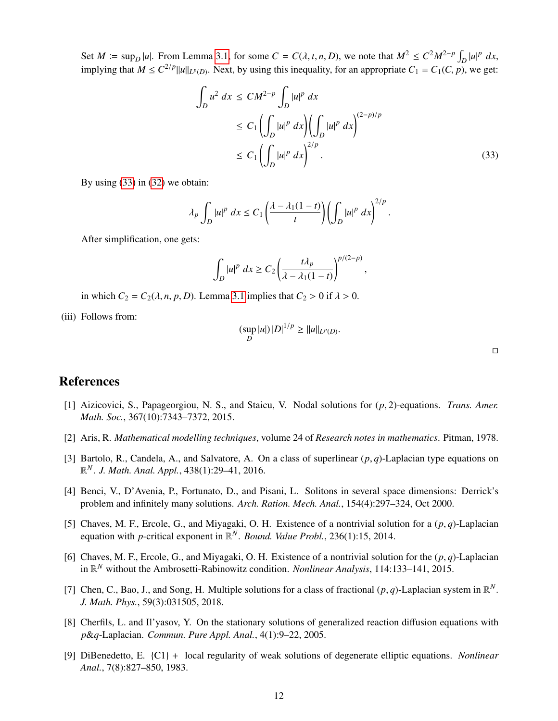Set *M*  $:= \sup_D |u|$ . From Lemma [3.1,](#page-9-1) for some  $C = C(\lambda, t, n, D)$ , we note that  $M^2 \le C^2 M^{2-p} \int_D |u|^p dx$ ,<br>implies that  $M \le C^{2/p}$ implying that  $M \leq C^{2/p} ||u||_{L^p(D)}$ . Next, by using this inequality, for an appropriate  $C_1 = C_1(C, p)$ , we get:

<span id="page-11-9"></span>
$$
\int_{D} u^{2} dx \le CM^{2-p} \int_{D} |u|^{p} dx
$$
\n
$$
\le C_{1} \left( \int_{D} |u|^{p} dx \right) \left( \int_{D} |u|^{p} dx \right)^{(2-p)/p}
$$
\n
$$
\le C_{1} \left( \int_{D} |u|^{p} dx \right)^{2/p} .
$$
\n(33)

By using [\(33\)](#page-11-9) in [\(32\)](#page-10-3) we obtain:

$$
\lambda_p \int_D |u|^p \ dx \le C_1 \left( \frac{\lambda - \lambda_1 (1-t)}{t} \right) \left( \int_D |u|^p \ dx \right)^{2/p}.
$$

After simplification, one gets:

$$
\int_D |u|^p\ dx \ge C_2 \left(\frac{t\lambda_p}{\lambda - \lambda_1(1-t)}\right)^{p/(2-p)},
$$

in which  $C_2 = C_2(\lambda, n, p, D)$ . Lemma [3.1](#page-9-1) implies that  $C_2 > 0$  if  $\lambda > 0$ .

(iii) Follows from:

$$
(\sup_{D} |u|) |D|^{1/p} \ge ||u||_{L^{p}(D)}
$$

 $\Box$ 

## References

- <span id="page-11-7"></span>[1] Aizicovici, S., Papageorgiou, N. S., and Staicu, V. Nodal solutions for (*p*, 2)-equations. *Trans. Amer. Math. Soc.*, 367(10):7343–7372, 2015.
- <span id="page-11-0"></span>[2] Aris, R. *Mathematical modelling techniques*, volume 24 of *Research notes in mathematics*. Pitman, 1978.
- <span id="page-11-5"></span>[3] Bartolo, R., Candela, A., and Salvatore, A. On a class of superlinear (*p*, *<sup>q</sup>*)-Laplacian type equations on R *<sup>N</sup>*. *J. Math. Anal. Appl.*, 438(1):29–41, 2016.
- <span id="page-11-1"></span>[4] Benci, V., D'Avenia, P., Fortunato, D., and Pisani, L. Solitons in several space dimensions: Derrick's problem and infinitely many solutions. *Arch. Ration. Mech. Anal.*, 154(4):297–324, Oct 2000.
- <span id="page-11-3"></span>[5] Chaves, M. F., Ercole, G., and Miyagaki, O. H. Existence of a nontrivial solution for a  $(p, q)$ -Laplacian equation with *p*-critical exponent in R *<sup>N</sup>*. *Bound. Value Probl.*, 236(1):15, 2014.
- <span id="page-11-4"></span>[6] Chaves, M. F., Ercole, G., and Miyagaki, O. H. Existence of a nontrivial solution for the  $(p, q)$ -Laplacian in R *<sup>N</sup>* without the Ambrosetti-Rabinowitz condition. *Nonlinear Analysis*, 114:133–141, 2015.
- <span id="page-11-6"></span>[7] Chen, C., Bao, J., and Song, H. Multiple solutions for a class of fractional  $(p, q)$ -Laplacian system in  $\mathbb{R}^N$ .<br>*I* Math, Phys. 59(3):031505, 2018 *J. Math. Phys.*, 59(3):031505, 2018.
- <span id="page-11-2"></span>[8] Cherfils, L. and Il'yasov, Y. On the stationary solutions of generalized reaction diffusion equations with *p*&*q*-Laplacian. *Commun. Pure Appl. Anal.*, 4(1):9–22, 2005.
- <span id="page-11-8"></span>[9] DiBenedetto, E. {C1} + local regularity of weak solutions of degenerate elliptic equations. *Nonlinear Anal.*, 7(8):827–850, 1983.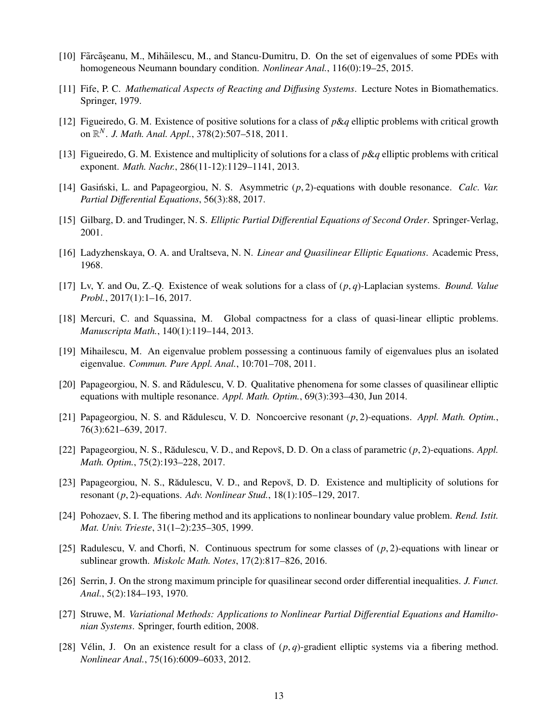- <span id="page-12-12"></span>[10] Fãrcãseanu, M., Mihãilescu, M., and Stancu-Dumitru, D. On the set of eigenvalues of some PDEs with homogeneous Neumann boundary condition. *Nonlinear Anal.*, 116(0):19–25, 2015.
- <span id="page-12-0"></span>[11] Fife, P. C. *Mathematical Aspects of Reacting and Di*ff*using Systems*. Lecture Notes in Biomathematics. Springer, 1979.
- <span id="page-12-5"></span>[12] Figueiredo, G. M. Existence of positive solutions for a class of *p*&*q* elliptic problems with critical growth on R *<sup>N</sup>*. *J. Math. Anal. Appl.*, 378(2):507–518, 2011.
- <span id="page-12-2"></span>[13] Figueiredo, G. M. Existence and multiplicity of solutions for a class of *p*&*q* elliptic problems with critical exponent. *Math. Nachr.*, 286(11-12):1129–1141, 2013.
- <span id="page-12-7"></span>[14] Gasiński, L. and Papageorgiou, N. S. Asymmetric  $(p, 2)$ -equations with double resonance. *Calc. Var. Partial Di*ff*erential Equations*, 56(3):88, 2017.
- <span id="page-12-17"></span>[15] Gilbarg, D. and Trudinger, N. S. *Elliptic Partial Di*ff*erential Equations of Second Order*. Springer-Verlag, 2001.
- <span id="page-12-18"></span>[16] Ladyzhenskaya, O. A. and Uraltseva, N. N. *Linear and Quasilinear Elliptic Equations*. Academic Press, 1968.
- <span id="page-12-4"></span>[17] Lv, Y. and Ou, Z.-Q. Existence of weak solutions for a class of (*p*, *<sup>q</sup>*)-Laplacian systems. *Bound. Value Probl.*, 2017(1):1–16, 2017.
- <span id="page-12-3"></span>[18] Mercuri, C. and Squassina, M. Global compactness for a class of quasi-linear elliptic problems. *Manuscripta Math.*, 140(1):119–144, 2013.
- <span id="page-12-11"></span>[19] Mihailescu, M. An eigenvalue problem possessing a continuous family of eigenvalues plus an isolated eigenvalue. *Commun. Pure Appl. Anal.*, 10:701–708, 2011.
- <span id="page-12-10"></span>[20] Papageorgiou, N. S. and Rădulescu, V. D. Qualitative phenomena for some classes of quasilinear elliptic equations with multiple resonance. *Appl. Math. Optim.*, 69(3):393–430, Jun 2014.
- <span id="page-12-9"></span>[21] Papageorgiou, N. S. and Rădulescu, V. D. Noncoercive resonant (p, 2)-equations. *Appl. Math. Optim.*, 76(3):621–639, 2017.
- <span id="page-12-8"></span>[22] Papageorgiou, N. S., Rădulescu, V. D., and Repovš, D. D. On a class of parametric  $(p, 2)$ -equations. *Appl. Math. Optim.*, 75(2):193–228, 2017.
- <span id="page-12-6"></span>[23] Papageorgiou, N. S., Rădulescu, V. D., and Repovš, D. D. Existence and multiplicity of solutions for resonant (*p*, 2)-equations. *Adv. Nonlinear Stud.*, 18(1):105–129, 2017.
- <span id="page-12-13"></span>[24] Pohozaev, S. I. The fibering method and its applications to nonlinear boundary value problem. *Rend. Istit. Mat. Univ. Trieste*, 31(1–2):235–305, 1999.
- <span id="page-12-15"></span>[25] Radulescu, V. and Chorfi, N. Continuous spectrum for some classes of (*p*, 2)-equations with linear or sublinear growth. *Miskolc Math. Notes*, 17(2):817–826, 2016.
- <span id="page-12-16"></span>[26] Serrin, J. On the strong maximum principle for quasilinear second order differential inequalities. *J. Funct. Anal.*, 5(2):184–193, 1970.
- <span id="page-12-1"></span>[27] Struwe, M. *Variational Methods: Applications to Nonlinear Partial Di*ff*erential Equations and Hamiltonian Systems*. Springer, fourth edition, 2008.
- <span id="page-12-14"></span>[28] Vélin, J. On an existence result for a class of  $(p, q)$ -gradient elliptic systems via a fibering method. *Nonlinear Anal.*, 75(16):6009–6033, 2012.